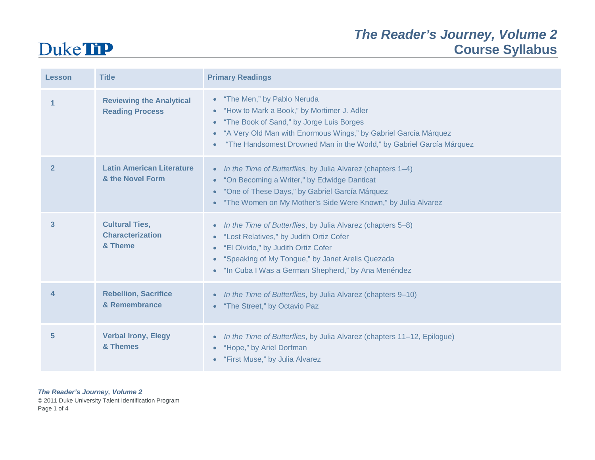### *The Reader's Journey, Volume 2* **Course Syllabus**

### **Duke TiP**

| Lesson         | <b>Title</b>                                                | <b>Primary Readings</b>                                                                                                                                                                                                                                                                                    |
|----------------|-------------------------------------------------------------|------------------------------------------------------------------------------------------------------------------------------------------------------------------------------------------------------------------------------------------------------------------------------------------------------------|
|                | <b>Reviewing the Analytical</b><br><b>Reading Process</b>   | • "The Men," by Pablo Neruda<br>• "How to Mark a Book," by Mortimer J. Adler<br>"The Book of Sand," by Jorge Luis Borges<br>$\bullet$<br>"A Very Old Man with Enormous Wings," by Gabriel García Márquez<br>$\bullet$<br>"The Handsomest Drowned Man in the World," by Gabriel García Márquez<br>$\bullet$ |
| $\overline{2}$ | <b>Latin American Literature</b><br>& the Novel Form        | In the Time of Butterflies, by Julia Alvarez (chapters 1-4)<br>$\bullet$ .<br>• "On Becoming a Writer," by Edwidge Danticat<br>"One of These Days," by Gabriel García Márquez<br>$\bullet$<br>• "The Women on My Mother's Side Were Known," by Julia Alvarez                                               |
| 3              | <b>Cultural Ties,</b><br><b>Characterization</b><br>& Theme | • In the Time of Butterflies, by Julia Alvarez (chapters 5-8)<br>• "Lost Relatives," by Judith Ortiz Cofer<br>• "El Olvido," by Judith Ortiz Cofer<br>• "Speaking of My Tongue," by Janet Arelis Quezada<br>• "In Cuba I Was a German Shepherd," by Ana Menéndez                                           |
| 4              | <b>Rebellion, Sacrifice</b><br>& Remembrance                | In the Time of Butterflies, by Julia Alvarez (chapters 9-10)<br>$\bullet$<br>• "The Street," by Octavio Paz                                                                                                                                                                                                |
| 5              | <b>Verbal Irony, Elegy</b><br>& Themes                      | In the Time of Butterflies, by Julia Alvarez (chapters 11-12, Epilogue)<br>$\bullet$<br>• "Hope," by Ariel Dorfman<br>• "First Muse," by Julia Alvarez                                                                                                                                                     |

*The Reader's Journey, Volume 2*

© 2011 Duke University Talent Identification Program Page 1 of 4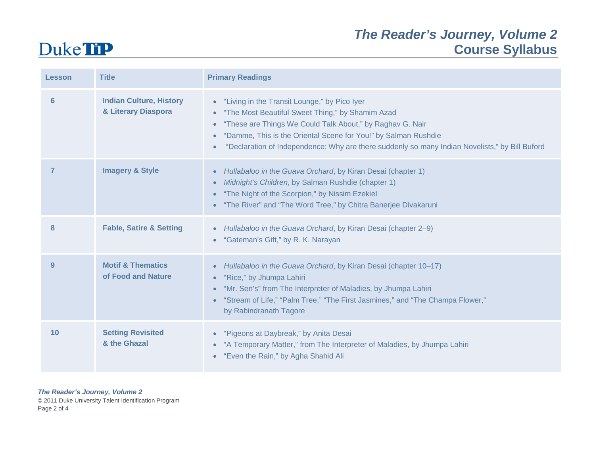### *The Reader's Journey, Volume 2* **Course Syllabus**

### **Duke TiP**

| Lesson         | <b>Title</b>                                          | <b>Primary Readings</b>                                                                                                                                                                                                                                                                                                                                                    |
|----------------|-------------------------------------------------------|----------------------------------------------------------------------------------------------------------------------------------------------------------------------------------------------------------------------------------------------------------------------------------------------------------------------------------------------------------------------------|
| $6 \,$         | <b>Indian Culture, History</b><br>& Literary Diaspora | • "Living in the Transit Lounge," by Pico Iyer<br>"The Most Beautiful Sweet Thing," by Shamim Azad<br>$\bullet$<br>"These are Things We Could Talk About," by Raghav G. Nair<br>$\bullet$<br>"Damme, This is the Oriental Scene for You!" by Salman Rushdie<br>"Declaration of Independence: Why are there suddenly so many Indian Novelists," by Bill Buford<br>$\bullet$ |
| $\overline{7}$ | <b>Imagery &amp; Style</b>                            | Hullabaloo in the Guava Orchard, by Kiran Desai (chapter 1)<br>$\bullet$<br>Midnight's Children, by Salman Rushdie (chapter 1)<br>$\bullet$<br>"The Night of the Scorpion," by Nissim Ezekiel<br>• "The River" and "The Word Tree," by Chitra Banerjee Divakaruni                                                                                                          |
| 8              | <b>Fable, Satire &amp; Setting</b>                    | • Hullabaloo in the Guava Orchard, by Kiran Desai (chapter 2-9)<br>"Gateman's Gift," by R. K. Narayan                                                                                                                                                                                                                                                                      |
| 9              | <b>Motif &amp; Thematics</b><br>of Food and Nature    | Hullabaloo in the Guava Orchard, by Kiran Desai (chapter 10-17)<br>"Rice," by Jhumpa Lahiri<br>$\bullet$<br>"Mr. Sen's" from The Interpreter of Maladies, by Jhumpa Lahiri<br>"Stream of Life," "Palm Tree," "The First Jasmines," and "The Champa Flower,"<br>$\bullet$<br>by Rabindranath Tagore                                                                         |
| 10             | <b>Setting Revisited</b><br>& the Ghazal              | • "Pigeons at Daybreak," by Anita Desai<br>• "A Temporary Matter," from The Interpreter of Maladies, by Jhumpa Lahiri<br>• "Even the Rain," by Agha Shahid Ali                                                                                                                                                                                                             |

*The Reader's Journey, Volume 2*

© 2011 Duke University Talent Identification Program Page 2 of 4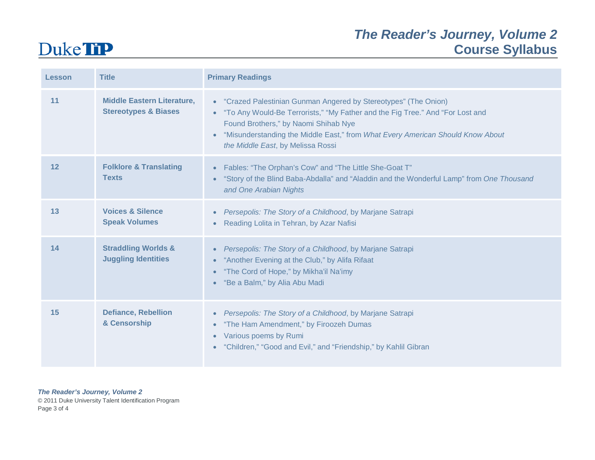# **Duke TiP**

### *The Reader's Journey, Volume 2* **Course Syllabus**

| <b>Lesson</b> | <b>Title</b>                                                         | <b>Primary Readings</b>                                                                                                                                                                                                                                                                                            |
|---------------|----------------------------------------------------------------------|--------------------------------------------------------------------------------------------------------------------------------------------------------------------------------------------------------------------------------------------------------------------------------------------------------------------|
| 11            | <b>Middle Eastern Literature,</b><br><b>Stereotypes &amp; Biases</b> | • "Crazed Palestinian Gunman Angered by Stereotypes" (The Onion)<br>• "To Any Would-Be Terrorists," "My Father and the Fig Tree." And "For Lost and<br>Found Brothers," by Naomi Shihab Nye<br>"Misunderstanding the Middle East," from What Every American Should Know About<br>the Middle East, by Melissa Rossi |
| 12            | <b>Folklore &amp; Translating</b><br><b>Texts</b>                    | Fables: "The Orphan's Cow" and "The Little She-Goat T"<br>"Story of the Blind Baba-Abdalla" and "Aladdin and the Wonderful Lamp" from One Thousand<br>$\bullet$<br>and One Arabian Nights                                                                                                                          |
| 13            | <b>Voices &amp; Silence</b><br><b>Speak Volumes</b>                  | Persepolis: The Story of a Childhood, by Marjane Satrapi<br>Reading Lolita in Tehran, by Azar Nafisi                                                                                                                                                                                                               |
| 14            | <b>Straddling Worlds &amp;</b><br><b>Juggling Identities</b>         | Persepolis: The Story of a Childhood, by Marjane Satrapi<br>• "Another Evening at the Club," by Alifa Rifaat<br>"The Cord of Hope," by Mikha'il Na'imy<br>$\bullet$<br>"Be a Balm," by Alia Abu Madi<br>$\bullet$                                                                                                  |
| 15            | <b>Defiance, Rebellion</b><br>& Censorship                           | Persepolis: The Story of a Childhood, by Marjane Satrapi<br>"The Ham Amendment," by Firoozeh Dumas<br>$\bullet$<br>Various poems by Rumi<br>$\bullet$<br>"Children," "Good and Evil," and "Friendship," by Kahlil Gibran                                                                                           |

*The Reader's Journey, Volume 2*

© 2011 Duke University Talent Identification Program Page 3 of 4